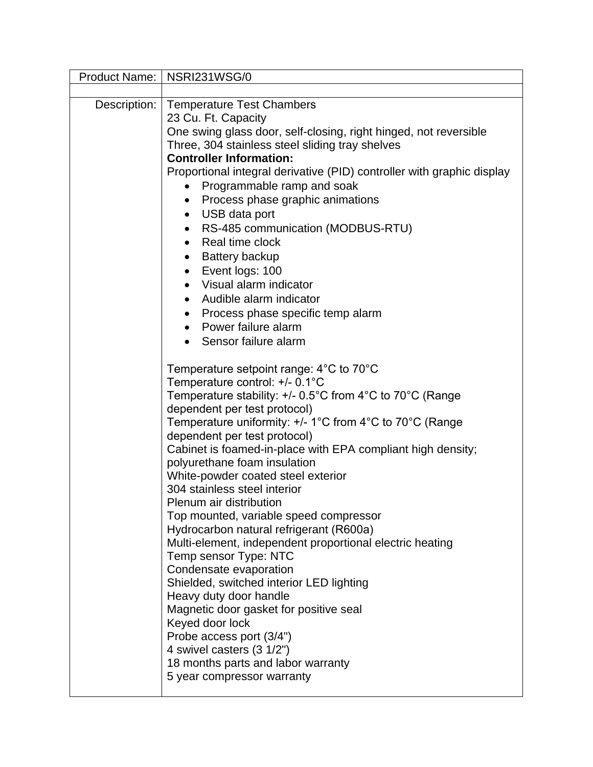|              | Product Name:   NSRI231WSG/0                                                      |
|--------------|-----------------------------------------------------------------------------------|
|              |                                                                                   |
| Description: | <b>Temperature Test Chambers</b>                                                  |
|              | 23 Cu. Ft. Capacity                                                               |
|              | One swing glass door, self-closing, right hinged, not reversible                  |
|              | Three, 304 stainless steel sliding tray shelves<br><b>Controller Information:</b> |
|              | Proportional integral derivative (PID) controller with graphic display            |
|              | Programmable ramp and soak                                                        |
|              | Process phase graphic animations                                                  |
|              | USB data port<br>$\bullet$                                                        |
|              | RS-485 communication (MODBUS-RTU)                                                 |
|              | Real time clock<br>$\bullet$                                                      |
|              | <b>Battery backup</b>                                                             |
|              | Event logs: 100<br>$\bullet$                                                      |
|              | Visual alarm indicator                                                            |
|              | Audible alarm indicator                                                           |
|              | Process phase specific temp alarm<br>$\bullet$                                    |
|              | Power failure alarm<br>$\bullet$                                                  |
|              | Sensor failure alarm                                                              |
|              | Temperature setpoint range: $4^{\circ}$ C to 70 $^{\circ}$ C                      |
|              | Temperature control: +/- 0.1°C                                                    |
|              | Temperature stability: +/- 0.5°C from 4°C to 70°C (Range                          |
|              | dependent per test protocol)                                                      |
|              | Temperature uniformity: +/- 1°C from 4°C to 70°C (Range                           |
|              | dependent per test protocol)                                                      |
|              | Cabinet is foamed-in-place with EPA compliant high density;                       |
|              | polyurethane foam insulation<br>White-powder coated steel exterior                |
|              | 304 stainless steel interior                                                      |
|              | Plenum air distribution                                                           |
|              | Top mounted, variable speed compressor                                            |
|              | Hydrocarbon natural refrigerant (R600a)                                           |
|              | Multi-element, independent proportional electric heating                          |
|              | Temp sensor Type: NTC                                                             |
|              | Condensate evaporation<br>Shielded, switched interior LED lighting                |
|              | Heavy duty door handle                                                            |
|              | Magnetic door gasket for positive seal                                            |
|              | Keyed door lock                                                                   |
|              | Probe access port (3/4")                                                          |
|              | 4 swivel casters (3 1/2")                                                         |
|              | 18 months parts and labor warranty                                                |
|              | 5 year compressor warranty                                                        |
|              |                                                                                   |